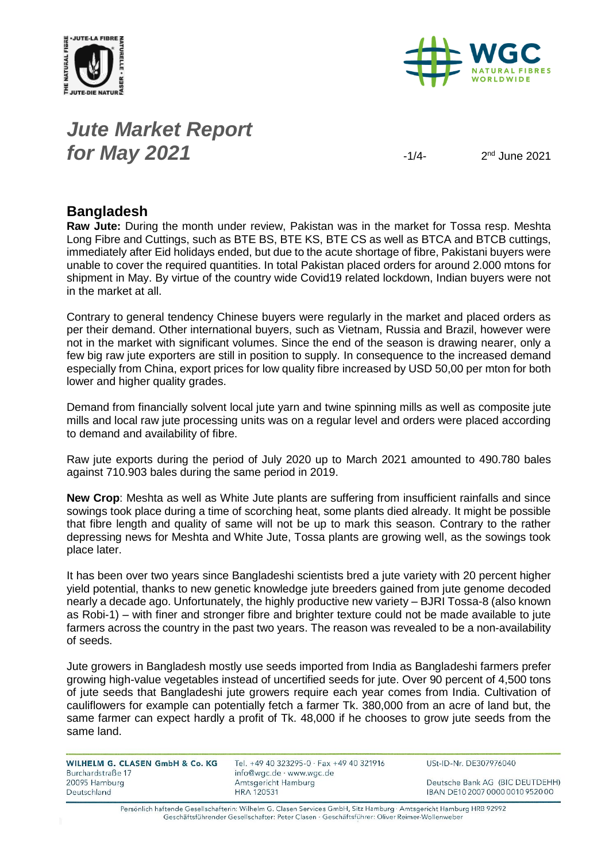



# *Jute Market Report for May* **2021**  $\frac{1}{4}$

 $2<sup>nd</sup>$  June 2021

## **Bangladesh**

**Raw Jute:** During the month under review, Pakistan was in the market for Tossa resp. Meshta Long Fibre and Cuttings, such as BTE BS, BTE KS, BTE CS as well as BTCA and BTCB cuttings, immediately after Eid holidays ended, but due to the acute shortage of fibre, Pakistani buyers were unable to cover the required quantities. In total Pakistan placed orders for around 2.000 mtons for shipment in May. By virtue of the country wide Covid19 related lockdown, Indian buyers were not in the market at all.

Contrary to general tendency Chinese buyers were regularly in the market and placed orders as per their demand. Other international buyers, such as Vietnam, Russia and Brazil, however were not in the market with significant volumes. Since the end of the season is drawing nearer, only a few big raw jute exporters are still in position to supply. In consequence to the increased demand especially from China, export prices for low quality fibre increased by USD 50,00 per mton for both lower and higher quality grades.

Demand from financially solvent local jute yarn and twine spinning mills as well as composite jute mills and local raw jute processing units was on a regular level and orders were placed according to demand and availability of fibre.

Raw jute exports during the period of July 2020 up to March 2021 amounted to 490.780 bales against 710.903 bales during the same period in 2019.

**New Crop**: Meshta as well as White Jute plants are suffering from insufficient rainfalls and since sowings took place during a time of scorching heat, some plants died already. It might be possible that fibre length and quality of same will not be up to mark this season. Contrary to the rather depressing news for Meshta and White Jute, Tossa plants are growing well, as the sowings took place later.

It has been over two years since Bangladeshi scientists bred a jute variety with 20 percent higher yield potential, thanks to new genetic knowledge jute breeders gained from jute genome decoded nearly a decade ago. Unfortunately, the highly productive new variety – BJRI Tossa-8 (also known as Robi-1) – with finer and stronger fibre and brighter texture could not be made available to jute farmers across the country in the past two years. The reason was revealed to be a non-availability of seeds.

Jute growers in Bangladesh mostly use seeds imported from India as Bangladeshi farmers prefer growing high-value vegetables instead of uncertified seeds for jute. Over 90 percent of 4,500 tons of jute seeds that Bangladeshi jute growers require each year comes from India. Cultivation of cauliflowers for example can potentially fetch a farmer Tk. 380,000 from an acre of land but, the same farmer can expect hardly a profit of Tk. 48,000 if he chooses to grow jute seeds from the same land.

| WILHELM G. CLASEN GmbH & Co. KG |  |
|---------------------------------|--|
| Burchardstraße 17               |  |
| 20095 Hamburg                   |  |
| Deutschland                     |  |

Tel. +49 40 323295-0 · Fax +49 40 321916 info@wgc.de · www.wgc.de Amtsgericht Hamburg **HRA 120531** 

USt-ID-Nr. DE307976040

Deutsche Bank AG (BIC DEUTDEHH) IBAN DE10 2007 0000 0010 9520 00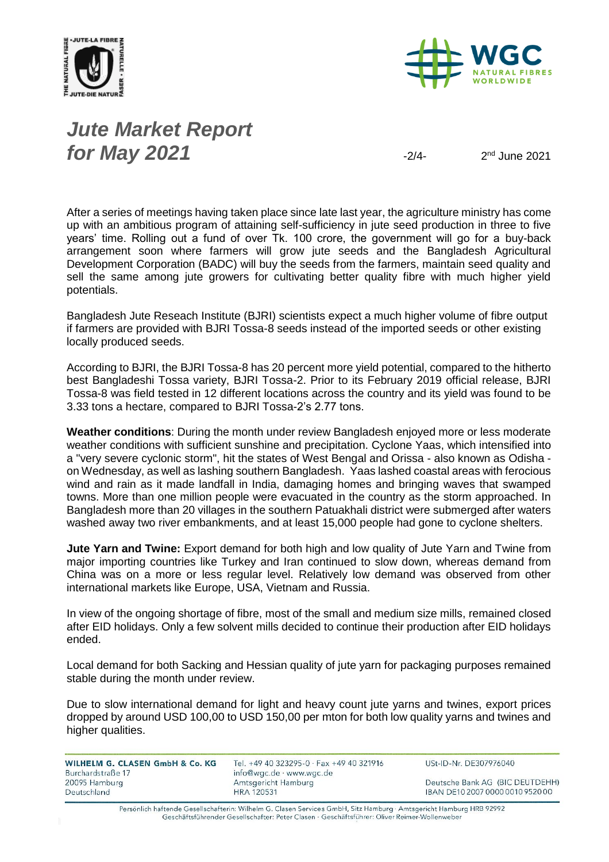



*Jute Market Report for May 2021*  $\frac{2}{4}$ 

2<sup>nd</sup> June 2021

After a series of meetings having taken place since late last year, the agriculture ministry has come up with an ambitious program of attaining self-sufficiency in jute seed production in three to five years' time. Rolling out a fund of over Tk. 100 crore, the government will go for a buy-back arrangement soon where farmers will grow jute seeds and the Bangladesh Agricultural Development Corporation (BADC) will buy the seeds from the farmers, maintain seed quality and sell the same among jute growers for cultivating better quality fibre with much higher yield potentials.

Bangladesh Jute Reseach Institute (BJRI) scientists expect a much higher volume of fibre output if farmers are provided with BJRI Tossa-8 seeds instead of the imported seeds or other existing locally produced seeds.

According to BJRI, the BJRI Tossa-8 has 20 percent more yield potential, compared to the hitherto best Bangladeshi Tossa variety, BJRI Tossa-2. Prior to its February 2019 official release, BJRI Tossa-8 was field tested in 12 different locations across the country and its yield was found to be 3.33 tons a hectare, compared to BJRI Tossa-2's 2.77 tons.

**Weather conditions**: During the month under review Bangladesh enjoyed more or less moderate weather conditions with sufficient sunshine and precipitation. Cyclone Yaas, which intensified into a "very severe cyclonic storm", hit the states of West Bengal and Orissa - also known as Odisha on Wednesday, as well as lashing southern Bangladesh. Yaas lashed coastal areas with ferocious wind and rain as it made landfall in India, damaging homes and bringing waves that swamped towns. More than one million people were evacuated in the country as the storm approached. In Bangladesh more than 20 villages in the southern Patuakhali district were submerged after waters washed away two river embankments, and at least 15,000 people had gone to cyclone shelters.

**Jute Yarn and Twine:** Export demand for both high and low quality of Jute Yarn and Twine from major importing countries like Turkey and Iran continued to slow down, whereas demand from China was on a more or less regular level. Relatively low demand was observed from other international markets like Europe, USA, Vietnam and Russia.

In view of the ongoing shortage of fibre, most of the small and medium size mills, remained closed after EID holidays. Only a few solvent mills decided to continue their production after EID holidays ended.

Local demand for both Sacking and Hessian quality of jute yarn for packaging purposes remained stable during the month under review.

Due to slow international demand for light and heavy count jute yarns and twines, export prices dropped by around USD 100,00 to USD 150,00 per mton for both low quality yarns and twines and higher qualities.

| <b>WILHELM G. CLASEN GmbH &amp; Co. KG</b> |  |
|--------------------------------------------|--|
| Burchardstraße 17                          |  |
| 20095 Hamburg                              |  |
| Deutschland                                |  |

Tel. +49 40 323295-0 · Fax +49 40 321916 info@wgc.de · www.wgc.de Amtsgericht Hamburg **HRA 120531** 

USt-ID-Nr. DE307976040

Deutsche Bank AG (BIC DEUTDEHH) IBAN DE10 2007 0000 0010 9520 00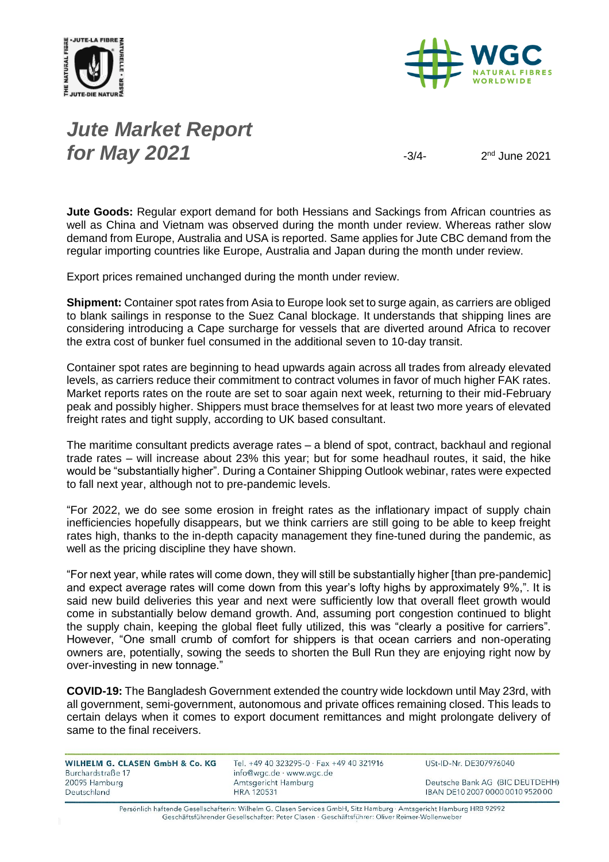



# *Jute Market Report for May 2021*  $\frac{3}{4}$

2<sup>nd</sup> June 2021

**Jute Goods:** Regular export demand for both Hessians and Sackings from African countries as well as China and Vietnam was observed during the month under review. Whereas rather slow demand from Europe, Australia and USA is reported. Same applies for Jute CBC demand from the regular importing countries like Europe, Australia and Japan during the month under review.

Export prices remained unchanged during the month under review.

**Shipment:** Container spot rates from Asia to Europe look set to surge again, as carriers are obliged to blank sailings in response to the Suez Canal blockage. It understands that shipping lines are considering introducing a Cape surcharge for vessels that are diverted around Africa to recover the extra cost of bunker fuel consumed in the additional seven to 10-day transit.

Container spot rates are beginning to head upwards again across all trades from already elevated levels, as carriers reduce their commitment to contract volumes in favor of much higher FAK rates. Market reports rates on the route are set to soar again next week, returning to their mid-February peak and possibly higher. Shippers must brace themselves for at least two more years of elevated freight rates and tight supply, according to UK based consultant.

The maritime consultant predicts average rates – a blend of spot, contract, backhaul and regional trade rates – will increase about 23% this year; but for some headhaul routes, it said, the hike would be "substantially higher". During a Container Shipping Outlook webinar, rates were expected to fall next year, although not to pre-pandemic levels.

"For 2022, we do see some erosion in freight rates as the inflationary impact of supply chain inefficiencies hopefully disappears, but we think carriers are still going to be able to keep freight rates high, thanks to the in-depth capacity management they fine-tuned during the pandemic, as well as the pricing discipline they have shown.

"For next year, while rates will come down, they will still be substantially higher [than pre-pandemic] and expect average rates will come down from this year's lofty highs by approximately 9%,". It is said new build deliveries this year and next were sufficiently low that overall fleet growth would come in substantially below demand growth. And, assuming port congestion continued to blight the supply chain, keeping the global fleet fully utilized, this was "clearly a positive for carriers". However, "One small crumb of comfort for shippers is that ocean carriers and non-operating owners are, potentially, sowing the seeds to shorten the Bull Run they are enjoying right now by over-investing in new tonnage."

**COVID-19:** The Bangladesh Government extended the country wide lockdown until May 23rd, with all government, semi-government, autonomous and private offices remaining closed. This leads to certain delays when it comes to export document remittances and might prolongate delivery of same to the final receivers.

| WILHELM G. CLASEN GmbH & Co. KG | Tel. +49 40 323295-0 · Fax +49 40 321916 | USt-ID-Nr. DE307976040           |
|---------------------------------|------------------------------------------|----------------------------------|
| Burchardstraße 17               | info@wgc.de · www.wgc.de                 |                                  |
| 20095 Hamburg                   | Amtsgericht Hamburg                      | Deutsche Bank AG (BIC DEUTDEHH)  |
| Deutschland                     | <b>HRA 120531</b>                        | IBAN DE10 2007 0000 0010 9520 00 |